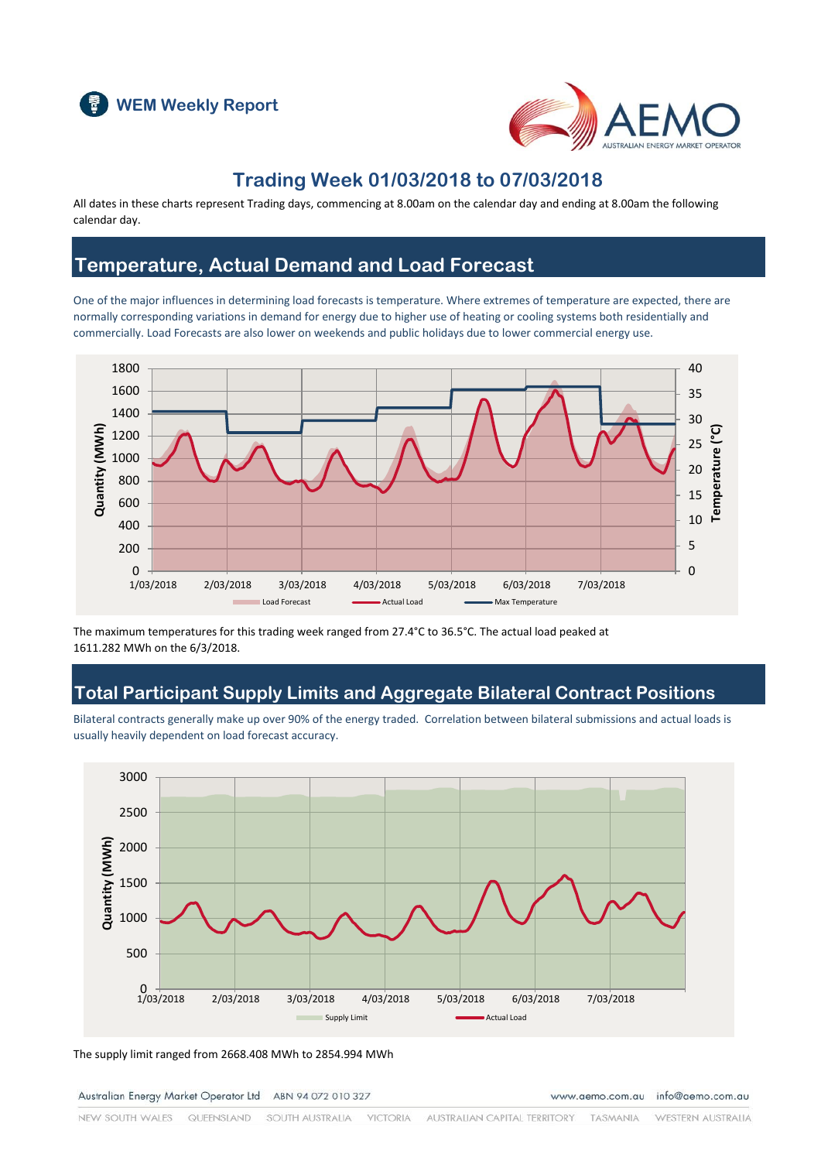



### **Trading Week 01/03/2018 to 07/03/2018**

All dates in these charts represent Trading days, commencing at 8.00am on the calendar day and ending at 8.00am the following calendar day.

### **Temperature, Actual Demand and Load Forecast**

One of the major influences in determining load forecasts is temperature. Where extremes of temperature are expected, there are normally corresponding variations in demand for energy due to higher use of heating or cooling systems both residentially and commercially. Load Forecasts are also lower on weekends and public holidays due to lower commercial energy use.



The maximum temperatures for this trading week ranged from 27.4°C to 36.5°C. The actual load peaked at 1611.282 MWh on the 6/3/2018.

### **Total Participant Supply Limits and Aggregate Bilateral Contract Positions**

Bilateral contracts generally make up over 90% of the energy traded. Correlation between bilateral submissions and actual loads is usually heavily dependent on load forecast accuracy.



The supply limit ranged from 2668.408 MWh to 2854.994 MWh

Australian Energy Market Operator Ltd ABN 94 072 010 327

www.aemo.com.au info@aemo.com.au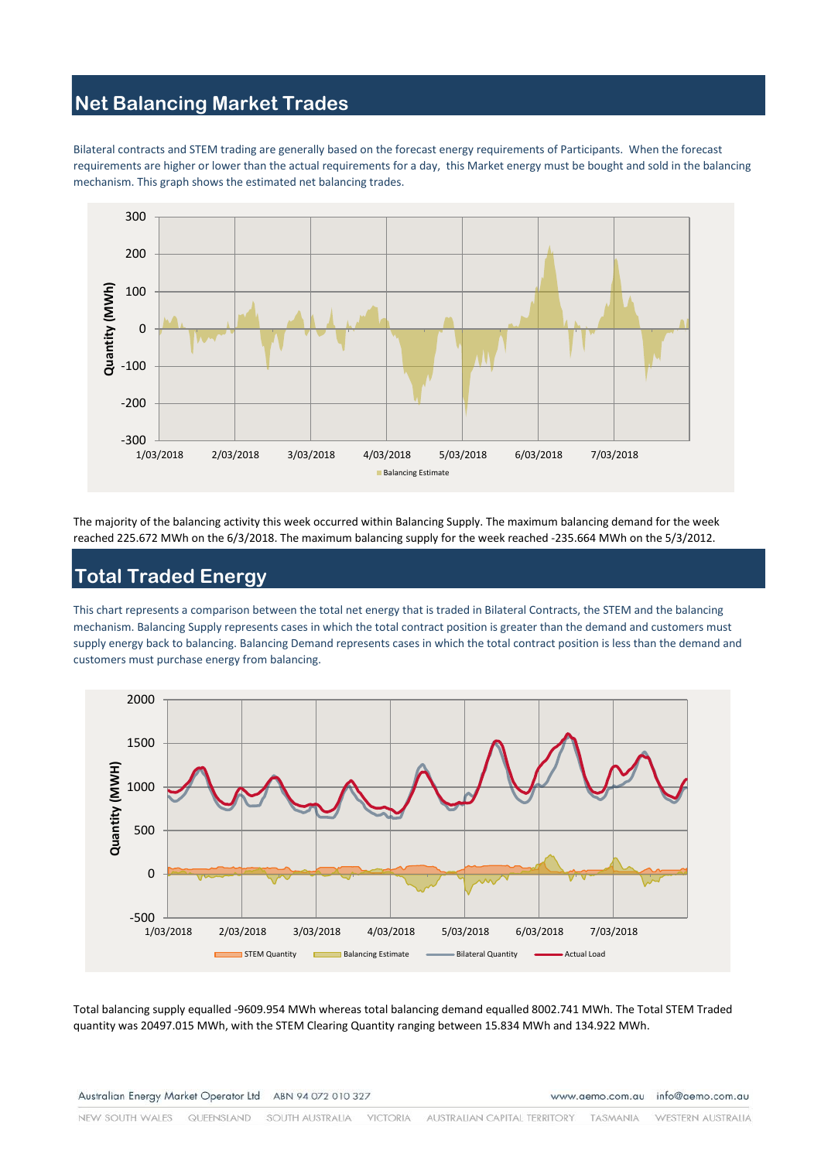# **Net Balancing Market Trades**

Bilateral contracts and STEM trading are generally based on the forecast energy requirements of Participants. When the forecast requirements are higher or lower than the actual requirements for a day, this Market energy must be bought and sold in the balancing mechanism. This graph shows the estimated net balancing trades.



The majority of the balancing activity this week occurred within Balancing Supply. The maximum balancing demand for the week reached 225.672 MWh on the 6/3/2018. The maximum balancing supply for the week reached -235.664 MWh on the 5/3/2012.

# **Total Traded Energy**

This chart represents a comparison between the total net energy that is traded in Bilateral Contracts, the STEM and the balancing mechanism. Balancing Supply represents cases in which the total contract position is greater than the demand and customers must supply energy back to balancing. Balancing Demand represents cases in which the total contract position is less than the demand and customers must purchase energy from balancing.



Total balancing supply equalled -9609.954 MWh whereas total balancing demand equalled 8002.741 MWh. The Total STEM Traded quantity was 20497.015 MWh, with the STEM Clearing Quantity ranging between 15.834 MWh and 134.922 MWh.

Australian Energy Market Operator Ltd ABN 94 072 010 327